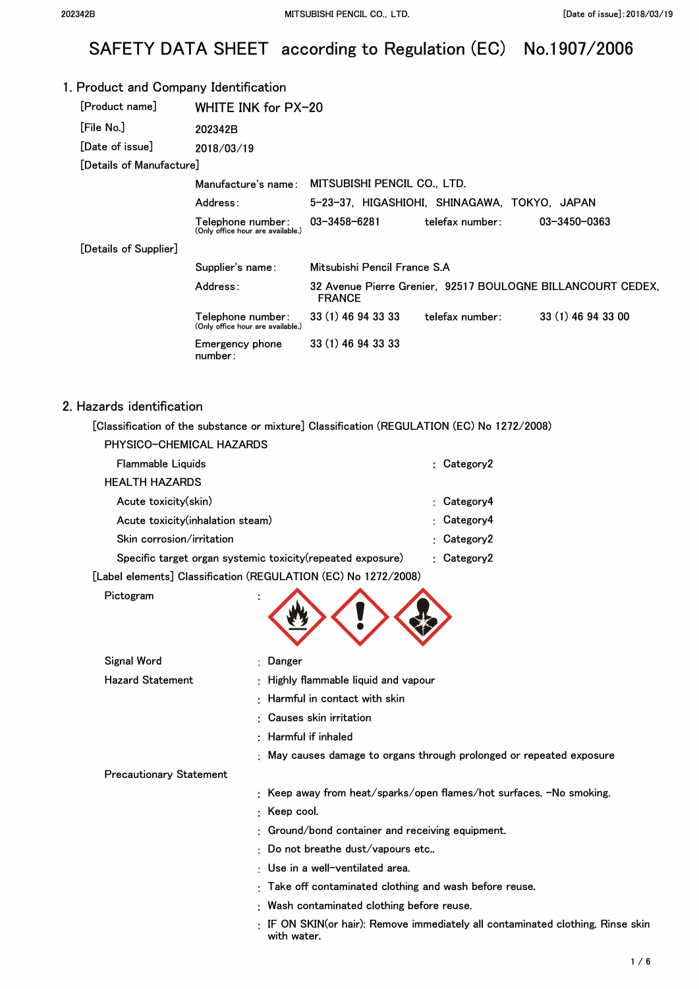# SAFETY DATA SHEET according to Regulation (EC) No.1907/2006

| 1. Product and Company Identification |                                                        |                                                 |                                              |                                                             |
|---------------------------------------|--------------------------------------------------------|-------------------------------------------------|----------------------------------------------|-------------------------------------------------------------|
| [Product name]                        | WHITE INK for PX-20                                    |                                                 |                                              |                                                             |
| [File No.]                            | 202342B                                                |                                                 |                                              |                                                             |
| [Date of issue]                       | 2018/03/19                                             |                                                 |                                              |                                                             |
| [Details of Manufacture]              |                                                        |                                                 |                                              |                                                             |
|                                       |                                                        | Manufacture's name: MITSUBISHI PENCIL CO., LTD. |                                              |                                                             |
|                                       | Address:                                               |                                                 | 5-23-37, HIGASHIOHI, SHINAGAWA, TOKYO, JAPAN |                                                             |
|                                       | Telephone number:<br>(Only office hour are available.) | 03-3458-6281                                    | telefax number:                              | 03-3450-0363                                                |
| [Details of Supplier]                 |                                                        |                                                 |                                              |                                                             |
|                                       | Supplier's name:                                       | Mitsubishi Pencil France S.A                    |                                              |                                                             |
|                                       | Address:                                               | <b>FRANCE</b>                                   |                                              | 32 Avenue Pierre Grenier, 92517 BOULOGNE BILLANCOURT CEDEX, |
|                                       | Telephone number:<br>(Only office hour are available.) | 33 (1) 46 94 33 33                              | telefax number:                              | 33 (1) 46 94 33 00                                          |
|                                       | Emergency phone<br>number:                             | 33 (1) 46 94 33 33                              |                                              |                                                             |

#### 2. Hazards identification

**[Classification of the substance or mixture] Classification (REGULATION (EC) No 1272/2008)** 

| PHYSICO-CHEMICAL HAZARDS                                    |                 |
|-------------------------------------------------------------|-----------------|
| Flammable Liquids                                           | : Category2     |
| <b>HEALTH HAZARDS</b>                                       |                 |
| Acute toxicity(skin)                                        | Category4<br>۰. |
| Acute toxicity(inhalation steam)                            | Category4<br>Ð. |
| Skin corrosion/irritation                                   | Category2<br>۰. |
| Specific target organ systemic toxicity (repeated exposure) | : $Category2$   |
|                                                             |                 |

**with water.** 

**[Label elements] Classification (REGULATION (EC) No 1272/2008)** 

| Pictogram |  |
|-----------|--|
|-----------|--|

| Signal Word                    | : Danger                                                                            |
|--------------------------------|-------------------------------------------------------------------------------------|
| <b>Hazard Statement</b>        | : Highly flammable liquid and vapour                                                |
|                                | $\pm$ Harmful in contact with skin                                                  |
|                                | : Causes skin irritation                                                            |
|                                | $\therefore$ Harmful if inhaled                                                     |
|                                | : May causes damage to organs through prolonged or repeated exposure                |
| <b>Precautionary Statement</b> |                                                                                     |
|                                | : Keep away from heat/sparks/open flames/hot surfaces. -No smoking.                 |
|                                | $\colon$ Keep cool.                                                                 |
|                                | <b>Ground/bond container and receiving equipment.</b>                               |
|                                | $\mathbb E$ Do not breathe dust/vapours etc                                         |
|                                | ∶ Use in a well−ventilated area.                                                    |
|                                | : Take off contaminated clothing and wash before reuse.                             |
|                                | : Wash contaminated clothing before reuse.                                          |
|                                | $\pm$ IF ON SKIN(or hair): Remove immediately all contaminated clothing. Rinse skin |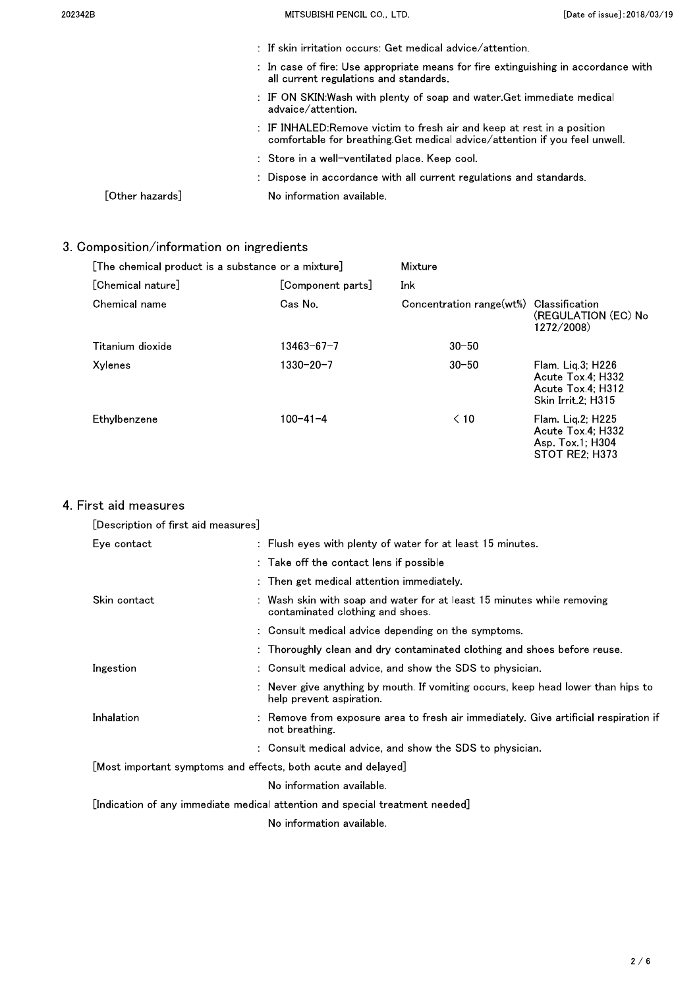| 202342B         | MITSUBISHI PENCIL CO., LTD.                                                                                                                          | [Date of issue]: 2018/03/19 |
|-----------------|------------------------------------------------------------------------------------------------------------------------------------------------------|-----------------------------|
|                 | $\pm$ If skin irritation occurs: Get medical advice/attention.                                                                                       |                             |
|                 | : In case of fire: Use appropriate means for fire extinguishing in accordance with<br>all current regulations and standards.                         |                             |
|                 | : IF ON SKIN:Wash with plenty of soap and water.Get immediate medical<br>advaice/attention.                                                          |                             |
|                 | : IF INHALED:Remove victim to fresh air and keep at rest in a position<br>comfortable for breathing Get medical advice/attention if you feel unwell. |                             |
|                 | : Store in a well-ventilated place. Keep cool.                                                                                                       |                             |
|                 | : Dispose in accordance with all current regulations and standards.                                                                                  |                             |
| ้Other hazardsไ | No information available.                                                                                                                            |                             |

## 3. Composition/information on ingredients

| [The chemical product is a substance or a mixture] |                   | Mixture                  |                                                                                        |
|----------------------------------------------------|-------------------|--------------------------|----------------------------------------------------------------------------------------|
| [Chemical nature]                                  | [Component parts] | Ink                      |                                                                                        |
| Chemical name                                      | Cas No            | Concentration range(wt%) | Classification<br>(REGULATION (EC) No<br>1272/2008)                                    |
| Titanium dioxide                                   | 13463-67-7        | $30 - 50$                |                                                                                        |
| Xylenes                                            | $1330 - 20 - 7$   | $30 - 50$                | $Flam$ . Lig.3; $H226$<br>Acute Tox 4: H332<br>Acute Tox 4: H312<br>Skin Irrit 2: H315 |
| Ethylbenzene                                       | $100 - 41 - 4$    | $\leq 10$                | Flam. Lig.2; H225<br>Acute Tox 4: H332<br>Asp. Tox 1: H304<br>STOT RE2; H373           |

## 4 First aid measures

| [Description of first aid measures]                           |                                                                                                              |
|---------------------------------------------------------------|--------------------------------------------------------------------------------------------------------------|
| Eye contact                                                   | : Flush eyes with plenty of water for at least 15 minutes.                                                   |
|                                                               | : Take off the contact lens if possible                                                                      |
|                                                               | $:$ Then get medical attention immediately.                                                                  |
| Skin contact                                                  | Wash skin with soap and water for at least 15 minutes while removing<br>contaminated clothing and shoes.     |
|                                                               | : Consult medical advice depending on the symptoms.                                                          |
|                                                               | : Thoroughly clean and dry contaminated clothing and shoes before reuse.                                     |
| Ingestion                                                     | : Consult medical advice, and show the SDS to physician.                                                     |
|                                                               | : Never give anything by mouth. If vomiting occurs, keep head lower than hips to<br>help prevent aspiration. |
| Inhalation                                                    | Remove from exposure area to fresh air immediately. Give artificial respiration if<br>not breathing          |
|                                                               | : Consult medical advice, and show the SDS to physician.                                                     |
| [Most important symptoms and effects, both acute and delayed] |                                                                                                              |
|                                                               | No information available.                                                                                    |
|                                                               | [Indication of any immediate medical attention and special treatment ${\sf needed}$ ]                        |
|                                                               | No information available.                                                                                    |
|                                                               |                                                                                                              |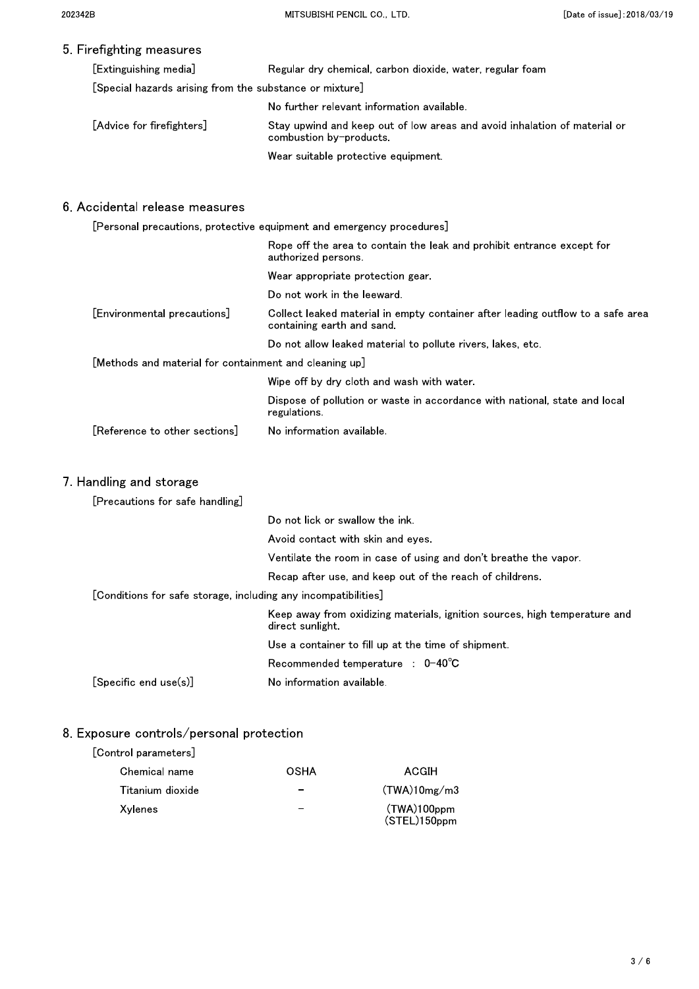### 5. Firefighting measures

| [Extinguishing media]                                   | Regular dry chemical, carbon dioxide, water, regular foam                                            |
|---------------------------------------------------------|------------------------------------------------------------------------------------------------------|
| [Special hazards arising from the substance or mixture] |                                                                                                      |
|                                                         | No further relevant information available.                                                           |
| [Advice for firefighters]                               | Stay upwind and keep out of low areas and avoid inhalation of material or<br>combustion by-products. |
|                                                         | Wear suitable protective equipment.                                                                  |
|                                                         |                                                                                                      |

#### 6. Accidental release measures

| [Personal precautions, protective equipment and emergency procedures]                                         |
|---------------------------------------------------------------------------------------------------------------|
| Rope off the area to contain the leak and prohibit entrance except for<br>authorized persons.                 |
| Wear appropriate protection gear.                                                                             |
| Do not work in the leeward.                                                                                   |
| Collect leaked material in empty container after leading outflow to a safe area<br>containing earth and sand. |
| Do not allow leaked material to pollute rivers, lakes, etc.                                                   |
| [Methods and material for containment and cleaning up]                                                        |
| Wipe off by dry cloth and wash with water.                                                                    |
| Dispose of pollution or waste in accordance with national, state and local<br>regulations.                    |
| No information available.                                                                                     |
|                                                                                                               |

#### 7. Handling and storage

| [Precautions for safe handling]                                |                                                                                                |
|----------------------------------------------------------------|------------------------------------------------------------------------------------------------|
|                                                                | Do not lick or swallow the ink                                                                 |
|                                                                | Avoid contact with skin and eyes.                                                              |
|                                                                | Ventilate the room in case of using and don't breathe the vapor.                               |
|                                                                | Recap after use, and keep out of the reach of childrens.                                       |
| [Conditions for safe storage, including any incompatibilities] |                                                                                                |
|                                                                | Keep away from oxidizing materials, ignition sources, high temperature and<br>direct sunlight. |
|                                                                | Use a container to fill up at the time of shipment.                                            |
|                                                                | Recommended temperature : 0-40°C                                                               |
| $[Specific$ end $use(s)]$                                      | No information available.                                                                      |

## 8. Exposure controls/personal protection

#### [Control parameters]

| Chemical name    | OSHA                     | ACGIH                          |
|------------------|--------------------------|--------------------------------|
| Titanium dioxide | $\overline{\phantom{0}}$ | (TWA)10mg/m3                   |
| Xylenes          | $\overline{\phantom{0}}$ | $(TWA)100$ ppm<br>(STEL)150ppm |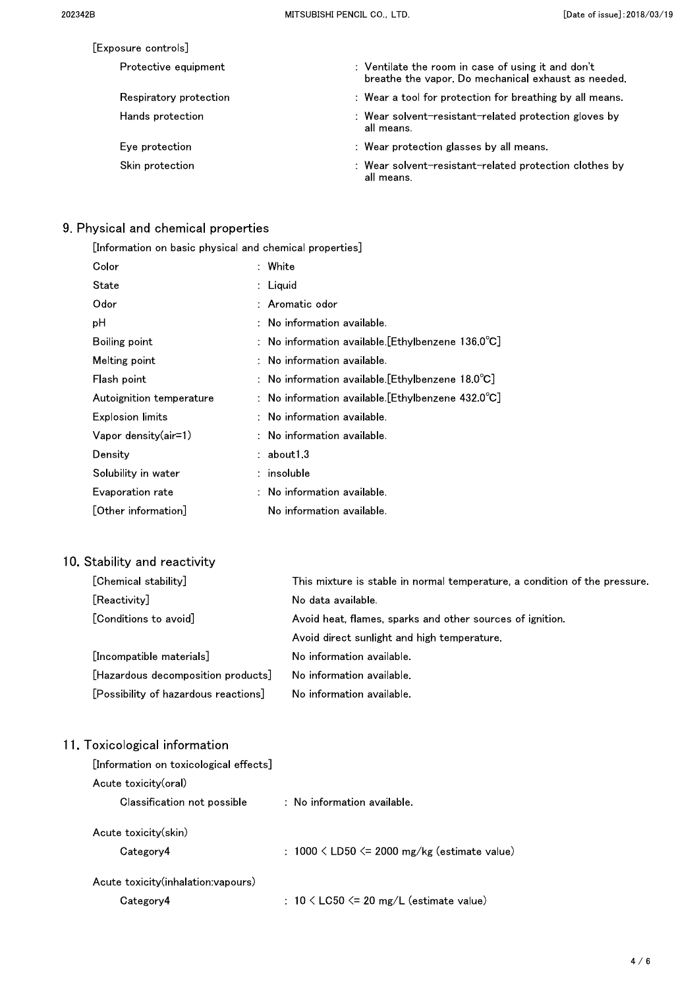| Exposure controls      |                                                                                                           |
|------------------------|-----------------------------------------------------------------------------------------------------------|
| Protective equipment   | : Ventilate the room in case of using it and don't<br>breathe the vapor. Do mechanical exhaust as needed. |
| Respiratory protection | : Wear a tool for protection for breathing by all means.                                                  |
| Hands protection       | : Wear solvent-resistant-related protection gloves by<br>all means.                                       |
| Eve protection         | : Wear protection glasses by all means.                                                                   |
| Skin protection        | : Wear solvent-resistant-related protection clothes by<br>all means.                                      |

## 9. Physical and chemical properties

| [Information on basic physical and chemical properties] |                                                              |  |  |
|---------------------------------------------------------|--------------------------------------------------------------|--|--|
| Color                                                   | : White                                                      |  |  |
| State                                                   | : Liquid                                                     |  |  |
| Odor                                                    | : Aromatic odor                                              |  |  |
| рH                                                      | $:$ No information available.                                |  |  |
| Boiling point                                           | : No information available. [Ethylbenzene 136.0 °C]          |  |  |
| Melting point                                           | : No information available.                                  |  |  |
| Flash point                                             | : No information available [Ethylbenzene 18.0 $^{\circ}$ C]  |  |  |
| Autoignition temperature                                | : No information available. [Ethylbenzene $432.0^{\circ}$ C] |  |  |
| <b>Explosion limits</b>                                 | $:$ No information available.                                |  |  |
| Vapor density(air=1)                                    | $:$ No information available.                                |  |  |
| Density                                                 | : about13                                                    |  |  |
| Solubility in water                                     | $:$ insoluble                                                |  |  |
| Evaporation rate                                        | $:$ No information available.                                |  |  |
| [Other information]                                     | No information available.                                    |  |  |
|                                                         |                                                              |  |  |

## 10. Stability and reactivity

| [Chemical stability]                 | This mixture is stable in normal temperature, a condition of the pressure. |  |
|--------------------------------------|----------------------------------------------------------------------------|--|
| [Reactivity]                         | No data available.                                                         |  |
| [Conditions to avoid]                | Avoid heat, flames, sparks and other sources of ignition.                  |  |
|                                      | Avoid direct sunlight and high temperature.                                |  |
| [Incompatible materials]             | No information available.                                                  |  |
| [Hazardous decomposition products]   | No information available.                                                  |  |
| [Possibility of hazardous reactions] | No information available.                                                  |  |

## 11. Toxicological information

| [Information on toxicological effects] |                                                     |  |  |
|----------------------------------------|-----------------------------------------------------|--|--|
| Acute toxicity(oral)                   |                                                     |  |  |
| Classification not possible            | $\therefore$ No information available.              |  |  |
| Acute toxicity(skin)<br>Category4      | : $1000 \leq LDS0 \leq 2000$ mg/kg (estimate value) |  |  |
| Acute toxicity(inhalation:vapours)     |                                                     |  |  |
| Category4                              | : $10 \lt$ LC50 $\lt$ 20 mg/L (estimate value)      |  |  |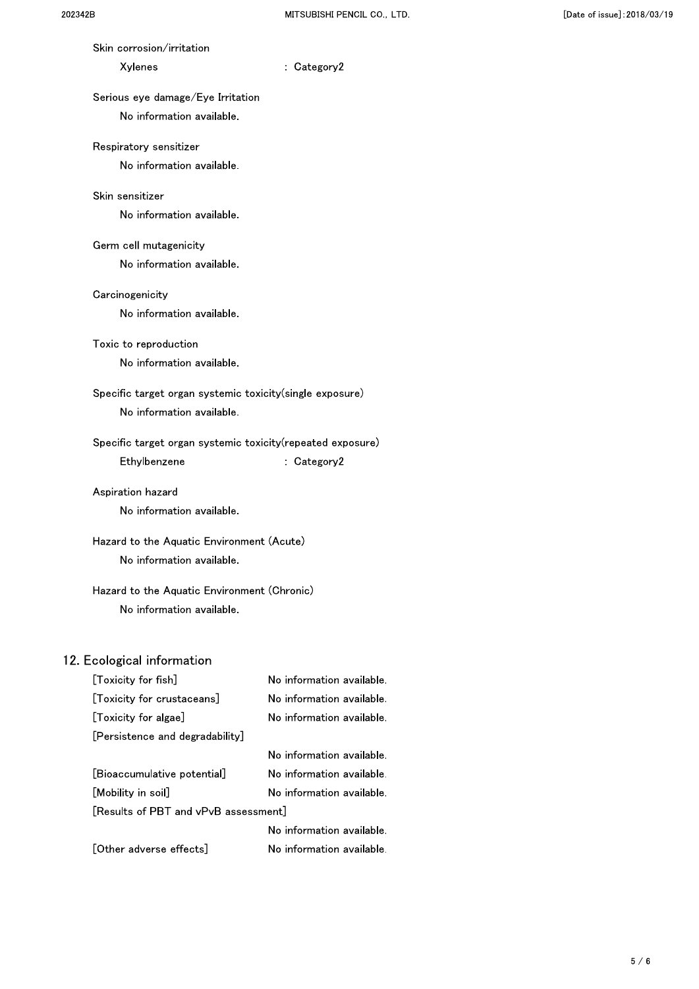| Skin corrosion/irritation                                   |                           |  |
|-------------------------------------------------------------|---------------------------|--|
| Xylenes                                                     | : Category2               |  |
| Serious eye damage/Eye Irritation                           |                           |  |
| No information available.                                   |                           |  |
| Respiratory sensitizer                                      |                           |  |
| No information available.                                   |                           |  |
| Skin sensitizer                                             |                           |  |
| No information available.                                   |                           |  |
| Germ cell mutagenicity                                      |                           |  |
| No information available.                                   |                           |  |
| Carcinogenicity                                             |                           |  |
| No information available.                                   |                           |  |
| Toxic to reproduction                                       |                           |  |
| No information available.                                   |                           |  |
| Specific target organ systemic toxicity(single exposure)    |                           |  |
| No information available.                                   |                           |  |
| Specific target organ systemic toxicity (repeated exposure) |                           |  |
| Ethylbenzene                                                | : Category2               |  |
| Aspiration hazard                                           |                           |  |
| No information available.                                   |                           |  |
| Hazard to the Aquatic Environment (Acute)                   |                           |  |
| No information available.                                   |                           |  |
| Hazard to the Aquatic Environment (Chronic)                 |                           |  |
| No information available.                                   |                           |  |
| 12. Ecological information                                  |                           |  |
| [Toxicity for fish]                                         | No information available. |  |
| [Toxicity for crustaceans]                                  | No information available. |  |
| [Toxicity for algae]                                        | No information available. |  |
| [Persistence and degradability]                             |                           |  |

|                                      | No information available. |  |
|--------------------------------------|---------------------------|--|
| [Bioaccumulative potential]          | No information available. |  |
| [Mobility in soil]                   | No information available. |  |
| [Results of PBT and vPvB assessment] |                           |  |
|                                      | No information available. |  |
| [Other adverse effects]              | No information available. |  |